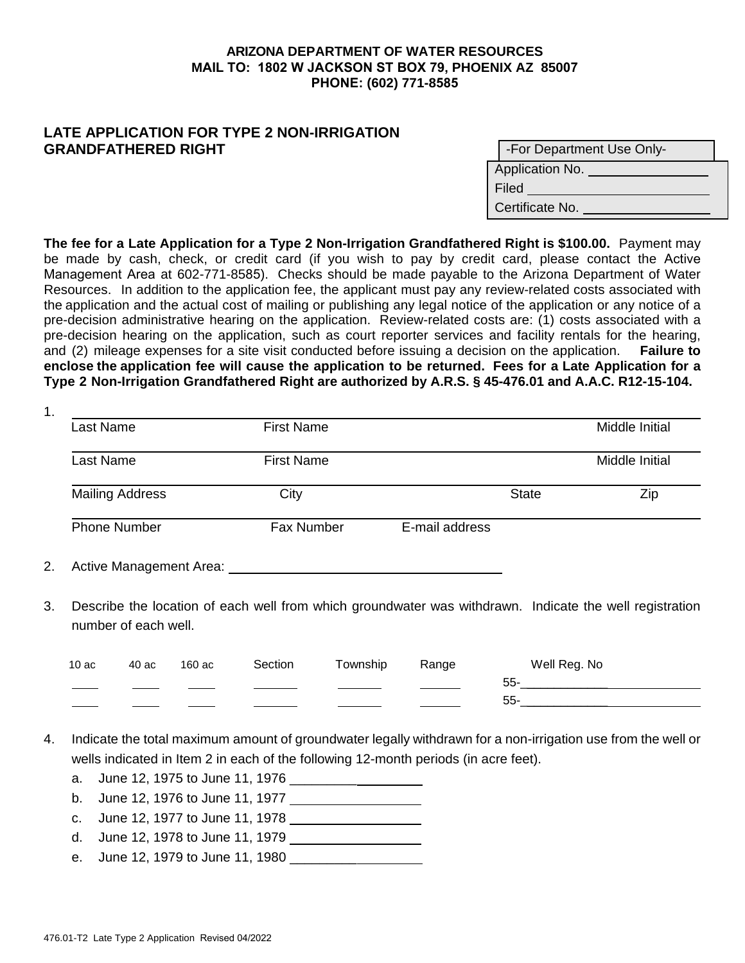## **ARIZONA DEPARTMENT OF WATER RESOURCES MAIL TO: 1802 W JACKSON ST BOX 79, PHOENIX AZ 85007 PHONE: (602) 771-8585**

## **LATE APPLICATION FOR TYPE 2 NON-IRRIGATION GRANDFATHERED RIGHT**

|                 | -For Department Use Only- |  |  |  |  |
|-----------------|---------------------------|--|--|--|--|
| Application No. |                           |  |  |  |  |
| Filed           |                           |  |  |  |  |
| Certificate No. |                           |  |  |  |  |

**The fee for a Late Application for a Type 2 Non-Irrigation Grandfathered Right is \$100.00.** Payment may be made by cash, check, or credit card (if you wish to pay by credit card, please contact the Active Management Area at 602-771-8585). Checks should be made payable to the Arizona Department of Water Resources. In addition to the application fee, the applicant must pay any review-related costs associated with the application and the actual cost of mailing or publishing any legal notice of the application or any notice of a pre-decision administrative hearing on the application. Review-related costs are: (1) costs associated with a pre-decision hearing on the application, such as court reporter services and facility rentals for the hearing, and (2) mileage expenses for a site visit conducted before issuing a decision on the application. **Failure to enclose the application fee will cause the application to be returned. Fees for a Late Application for a Type 2 Non-Irrigation Grandfathered Right are authorized by A.R.S. § 45-476.01 and A.A.C. R12-15-104.**

| 1.        |                         |                   |                |                |                |
|-----------|-------------------------|-------------------|----------------|----------------|----------------|
|           | Last Name               | <b>First Name</b> |                |                | Middle Initial |
| Last Name |                         | <b>First Name</b> |                | Middle Initial |                |
|           | <b>Mailing Address</b>  | City              |                | <b>State</b>   | Zip            |
|           | <b>Phone Number</b>     | Fax Number        | E-mail address |                |                |
| 2.        | Active Management Area: |                   |                |                |                |

3. Describe the location of each well from which groundwater was withdrawn. Indicate the well registration number of each well.

| 10ac | 40 ac | 160 ac | Section | Township | Range | Well Reg. No |
|------|-------|--------|---------|----------|-------|--------------|
|      |       |        |         |          |       | 55-          |
|      |       |        |         |          |       | 55-          |

- 4. Indicate the total maximum amount of groundwater legally withdrawn for a non-irrigation use from the well or wells indicated in Item 2 in each of the following 12-month periods (in acre feet).
	- a. June 12, 1975 to June 11, 1976 \_\_\_\_\_\_\_\_\_
	- b. June 12, 1976 to June 11, 1977
	- c. June 12, 1977 to June 11, 1978
	- d. June 12, 1978 to June 11, 1979
	- e. June 12, 1979 to June 11, 1980